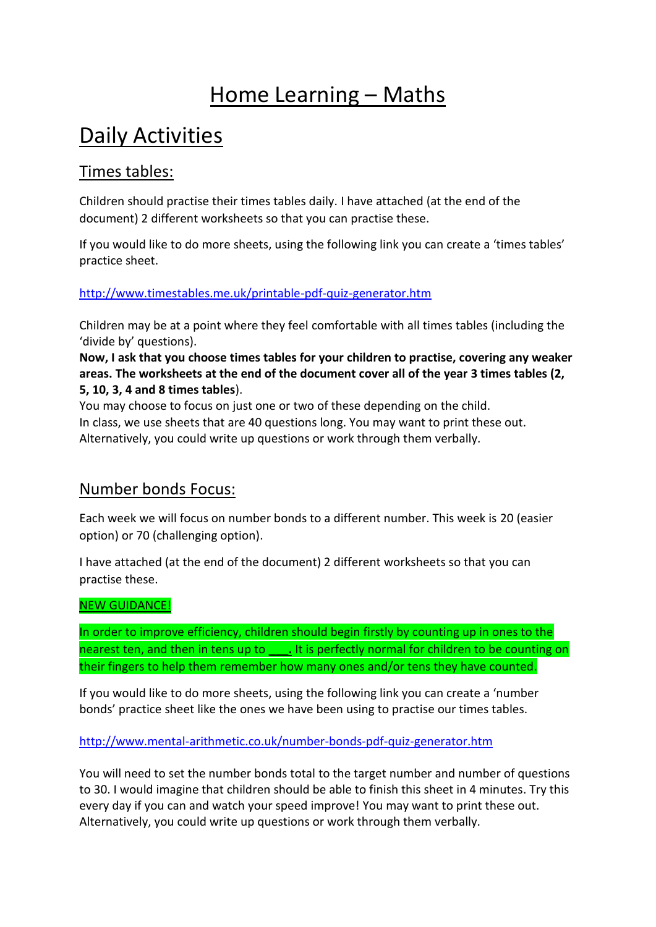# Home Learning – Maths

# Daily Activities

### Times tables:

Children should practise their times tables daily. I have attached (at the end of the document) 2 different worksheets so that you can practise these.

If you would like to do more sheets, using the following link you can create a 'times tables' practice sheet.

#### <http://www.timestables.me.uk/printable-pdf-quiz-generator.htm>

Children may be at a point where they feel comfortable with all times tables (including the 'divide by' questions).

**Now, I ask that you choose times tables for your children to practise, covering any weaker areas. The worksheets at the end of the document cover all of the year 3 times tables (2, 5, 10, 3, 4 and 8 times tables**).

You may choose to focus on just one or two of these depending on the child. In class, we use sheets that are 40 questions long. You may want to print these out. Alternatively, you could write up questions or work through them verbally.

### Number bonds Focus:

Each week we will focus on number bonds to a different number. This week is 20 (easier option) or 70 (challenging option).

I have attached (at the end of the document) 2 different worksheets so that you can practise these.

#### NEW GUIDANCE!

In order to improve efficiency, children should begin firstly by counting up in ones to the nearest ten, and then in tens up to **\_\_\_.** It is perfectly normal for children to be counting on their fingers to help them remember how many ones and/or tens they have counted.

If you would like to do more sheets, using the following link you can create a 'number bonds' practice sheet like the ones we have been using to practise our times tables.

#### <http://www.mental-arithmetic.co.uk/number-bonds-pdf-quiz-generator.htm>

You will need to set the number bonds total to the target number and number of questions to 30. I would imagine that children should be able to finish this sheet in 4 minutes. Try this every day if you can and watch your speed improve! You may want to print these out. Alternatively, you could write up questions or work through them verbally.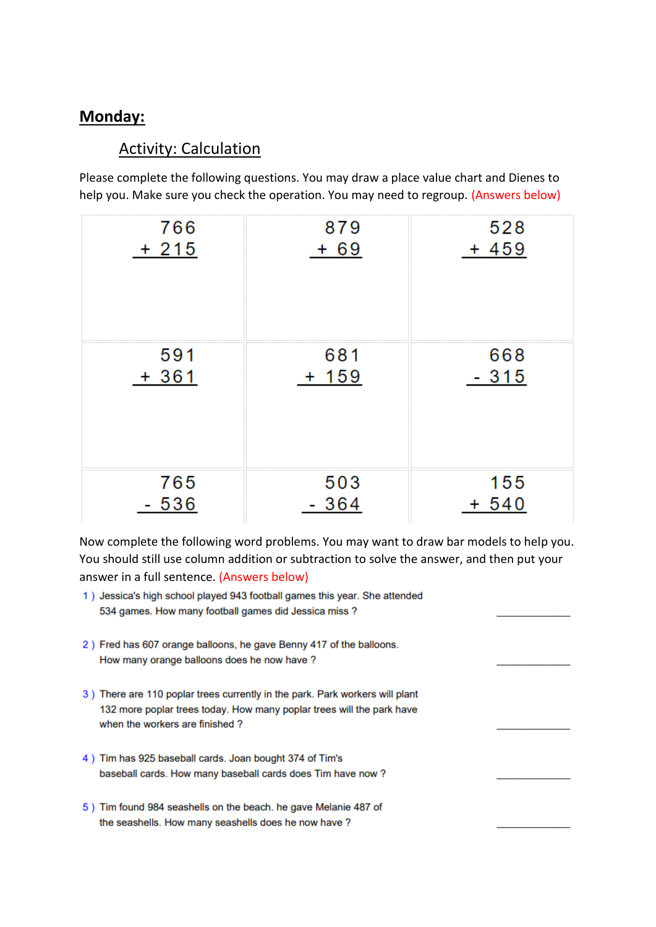### **Monday:**

### Activity: Calculation

Please complete the following questions. You may draw a place value chart and Dienes to help you. Make sure you check the operation. You may need to regroup. (Answers below)

| 766    | 879     | 528     |
|--------|---------|---------|
| $+215$ | $+ 69$  | $+459$  |
| 591    | 681     | 668     |
| $+361$ | $+ 159$ | $-315$  |
| 765    | 503     | 155     |
| 536    | 364     | $+ 540$ |

Now complete the following word problems. You may want to draw bar models to help you. You should still use column addition or subtraction to solve the answer, and then put your answer in a full sentence. (Answers below)

- 1) Jessica's high school played 943 football games this year. She attended 534 games. How many football games did Jessica miss?
- 2) Fred has 607 orange balloons, he gave Benny 417 of the balloons. How many orange balloons does he now have ?
- 3) There are 110 poplar trees currently in the park. Park workers will plant 132 more poplar trees today. How many poplar trees will the park have when the workers are finished?
- 4) Tim has 925 baseball cards. Joan bought 374 of Tim's baseball cards. How many baseball cards does Tim have now?
- 5) Tim found 984 seashells on the beach. he gave Melanie 487 of the seashells. How many seashells does he now have ?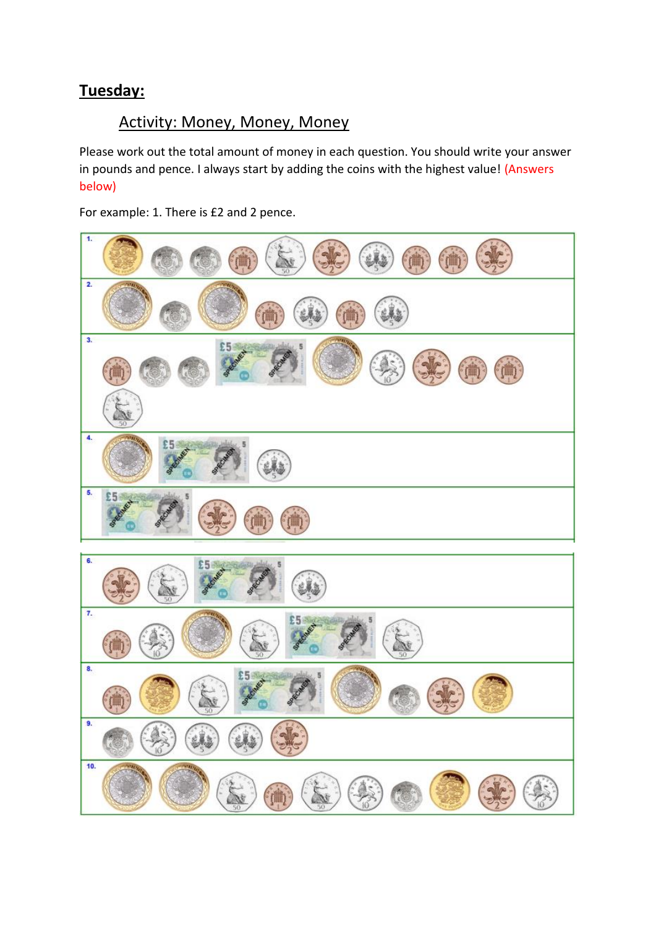### **Tuesday:**

### Activity: Money, Money, Money

Please work out the total amount of money in each question. You should write your answer in pounds and pence. I always start by adding the coins with the highest value! (Answers below)

For example: 1. There is £2 and 2 pence.

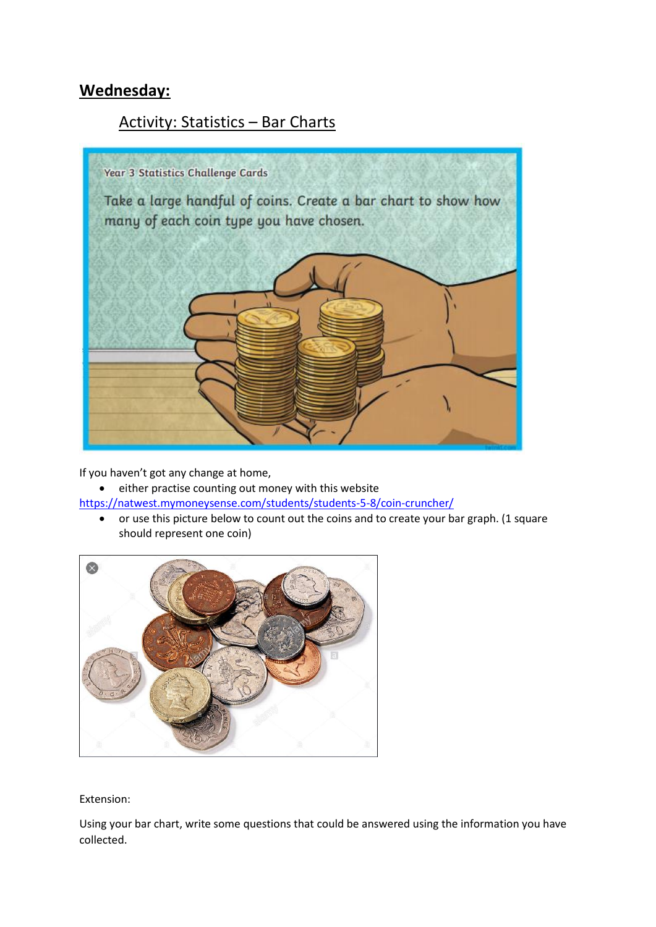## **Wednesday:**

### Activity: Statistics – Bar Charts



If you haven't got any change at home,

• either practise counting out money with this website

<https://natwest.mymoneysense.com/students/students-5-8/coin-cruncher/>

 or use this picture below to count out the coins and to create your bar graph. (1 square should represent one coin)



#### Extension:

Using your bar chart, write some questions that could be answered using the information you have collected.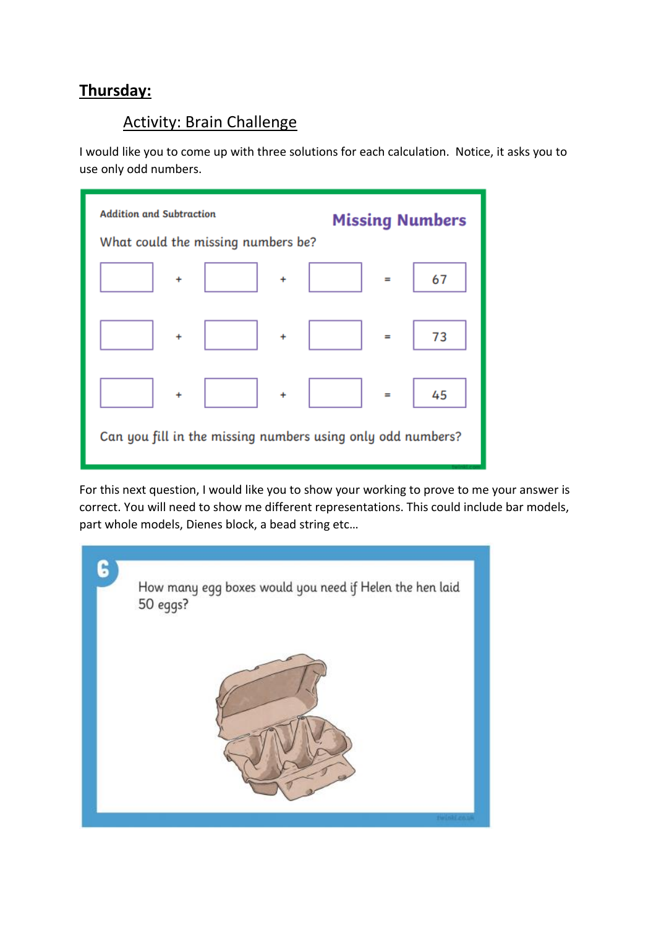### **Thursday:**

### Activity: Brain Challenge

I would like you to come up with three solutions for each calculation. Notice, it asks you to use only odd numbers.

| <b>Addition and Subtraction</b><br>What could the missing numbers be? | <b>Missing Numbers</b> |  |
|-----------------------------------------------------------------------|------------------------|--|
| $\ddot{}$                                                             | 67                     |  |
| $\ddot{}$                                                             | $=$                    |  |
| $\ddot{}$                                                             | 73                     |  |
| $\ddot{}$                                                             | $=$                    |  |
| $\ddot{}$                                                             | 45                     |  |
| $\ddot{}$                                                             | $=$                    |  |
| Can you fill in the missing numbers using only odd numbers?           |                        |  |

For this next question, I would like you to show your working to prove to me your answer is correct. You will need to show me different representations. This could include bar models, part whole models, Dienes block, a bead string etc…

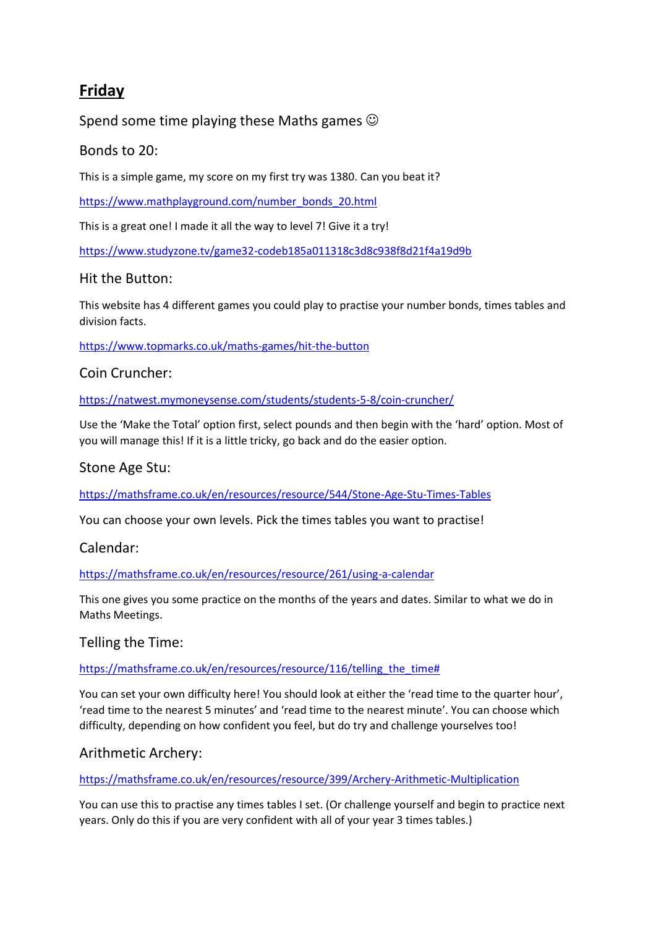### **Friday**

#### Spend some time playing these Maths games  $\odot$

#### Bonds to 20:

This is a simple game, my score on my first try was 1380. Can you beat it?

[https://www.mathplayground.com/number\\_bonds\\_20.html](https://www.mathplayground.com/number_bonds_20.html)

This is a great one! I made it all the way to level 7! Give it a try!

<https://www.studyzone.tv/game32-codeb185a011318c3d8c938f8d21f4a19d9b>

#### Hit the Button:

This website has 4 different games you could play to practise your number bonds, times tables and division facts.

<https://www.topmarks.co.uk/maths-games/hit-the-button>

#### Coin Cruncher:

<https://natwest.mymoneysense.com/students/students-5-8/coin-cruncher/>

Use the 'Make the Total' option first, select pounds and then begin with the 'hard' option. Most of you will manage this! If it is a little tricky, go back and do the easier option.

#### Stone Age Stu:

<https://mathsframe.co.uk/en/resources/resource/544/Stone-Age-Stu-Times-Tables>

You can choose your own levels. Pick the times tables you want to practise!

#### Calendar:

<https://mathsframe.co.uk/en/resources/resource/261/using-a-calendar>

This one gives you some practice on the months of the years and dates. Similar to what we do in Maths Meetings.

Telling the Time:

https://mathsframe.co.uk/en/resources/resource/116/telling the time#

You can set your own difficulty here! You should look at either the 'read time to the quarter hour', 'read time to the nearest 5 minutes' and 'read time to the nearest minute'. You can choose which difficulty, depending on how confident you feel, but do try and challenge yourselves too!

#### Arithmetic Archery:

<https://mathsframe.co.uk/en/resources/resource/399/Archery-Arithmetic-Multiplication>

You can use this to practise any times tables I set. (Or challenge yourself and begin to practice next years. Only do this if you are very confident with all of your year 3 times tables.)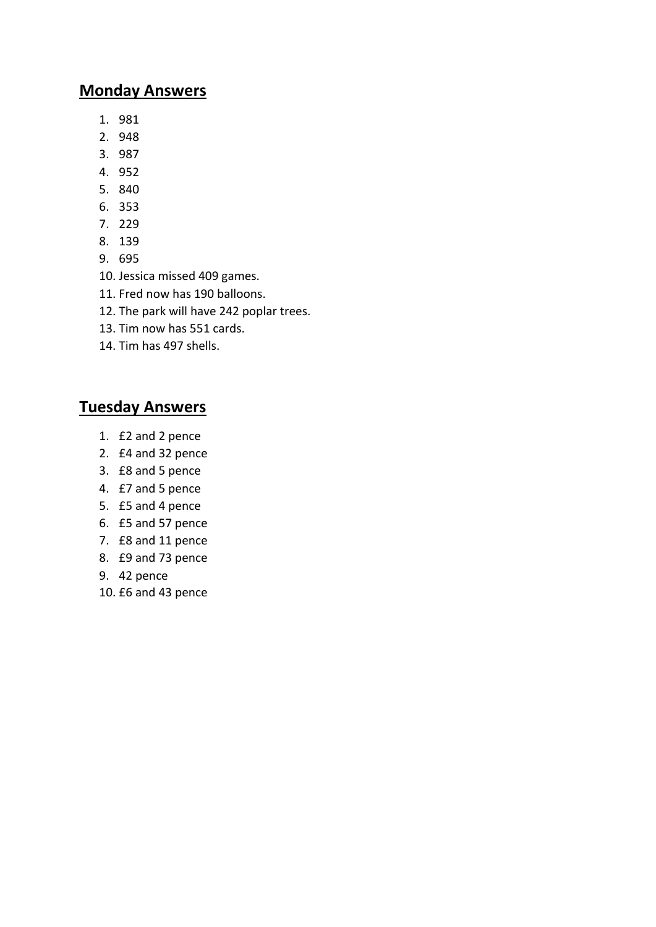#### **Monday Answers**

- 1. 981
- 2. 948
- 3. 987
- 4. 952
- 5. 840
- 6. 353
- 7. 229
- 8. 139
- 9. 695
- 10. Jessica missed 409 games.
- 11. Fred now has 190 balloons.
- 12. The park will have 242 poplar trees.
- 13. Tim now has 551 cards.
- 14. Tim has 497 shells.

### **Tuesday Answers**

- 1. £2 and 2 pence
- 2. £4 and 32 pence
- 3. £8 and 5 pence
- 4. £7 and 5 pence
- 5. £5 and 4 pence
- 6. £5 and 57 pence
- 7. £8 and 11 pence
- 8. £9 and 73 pence
- 9. 42 pence
- 10. £6 and 43 pence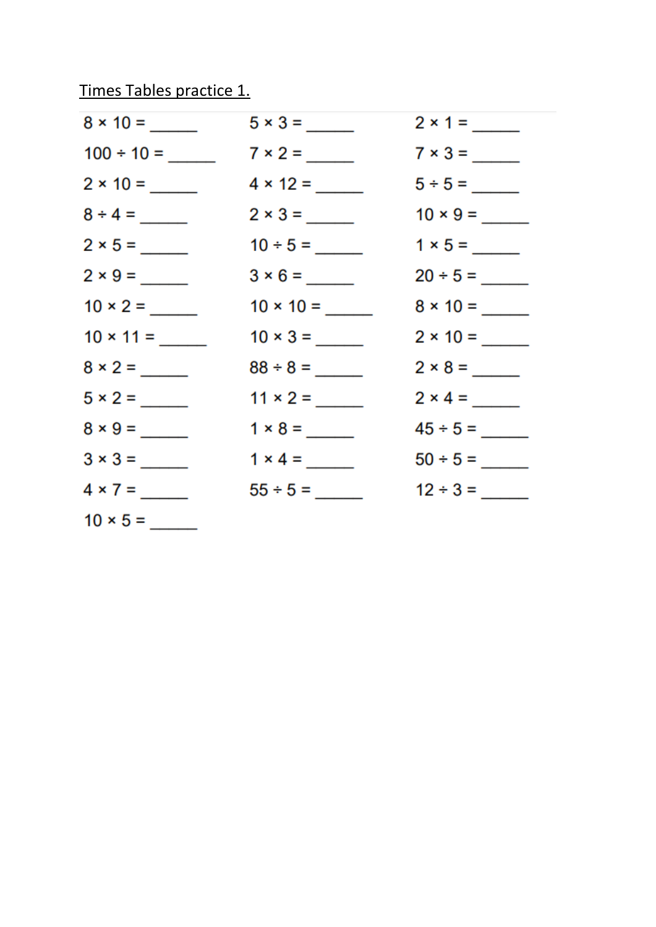# Times Tables practice 1.

|                 | $5 \times 3 =$  | $2 \times 1 =$ |
|-----------------|-----------------|----------------|
|                 | $7 \times 2 =$  | $7 \times 3 =$ |
|                 | $4 \times 12 =$ |                |
| $8 \div 4 =$    |                 |                |
|                 |                 |                |
|                 |                 |                |
| $10 \times 2 =$ |                 |                |
|                 |                 |                |
| $8 \times 2 =$  |                 |                |
| $5 \times 2 =$  |                 | $2 \times 4 =$ |
|                 |                 |                |
|                 | $1 \times 4 =$  |                |
| $4 \times 7 =$  | $55 \div 5 =$   | $12 \div 3 =$  |
| $10 \times 5 =$ |                 |                |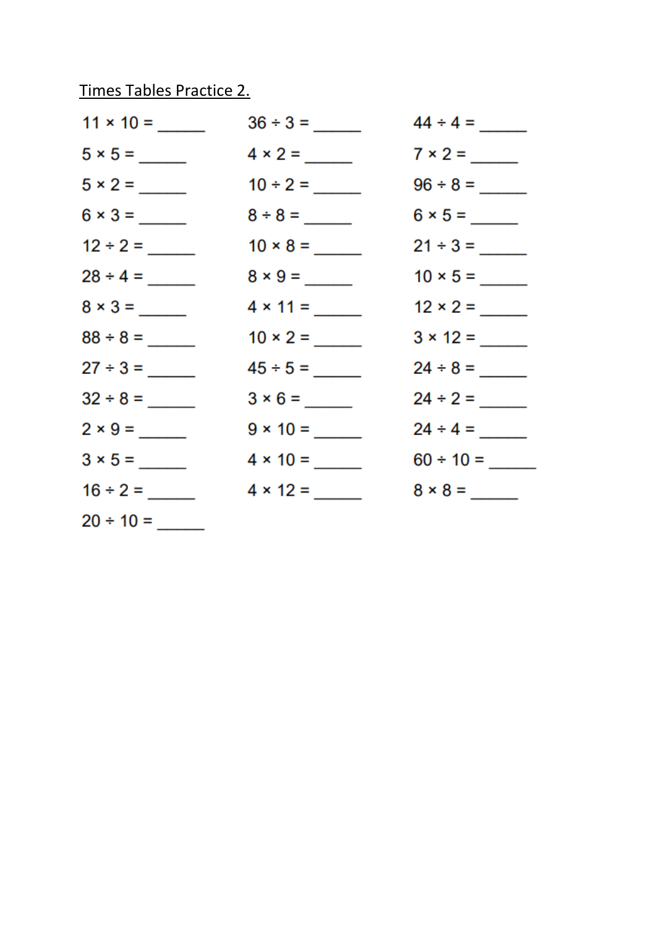# Times Tables Practice 2.

|                | $10 \times 8 =$ |                 |
|----------------|-----------------|-----------------|
| $28 \div 4 =$  | $8 \times 9 =$  |                 |
| $8 \times 3 =$ | $4 \times 11 =$ | $12 \times 2 =$ |
| $88 \div 8 =$  |                 |                 |
| $27 \div 3 =$  |                 |                 |
|                | $3 \times 6 =$  |                 |
| $2 \times 9 =$ |                 | $24 \div 4 =$   |
|                | $4 \times 10 =$ |                 |
|                | $4 \times 12 =$ | $8 \times 8 =$  |
| $20 \div 10 =$ |                 |                 |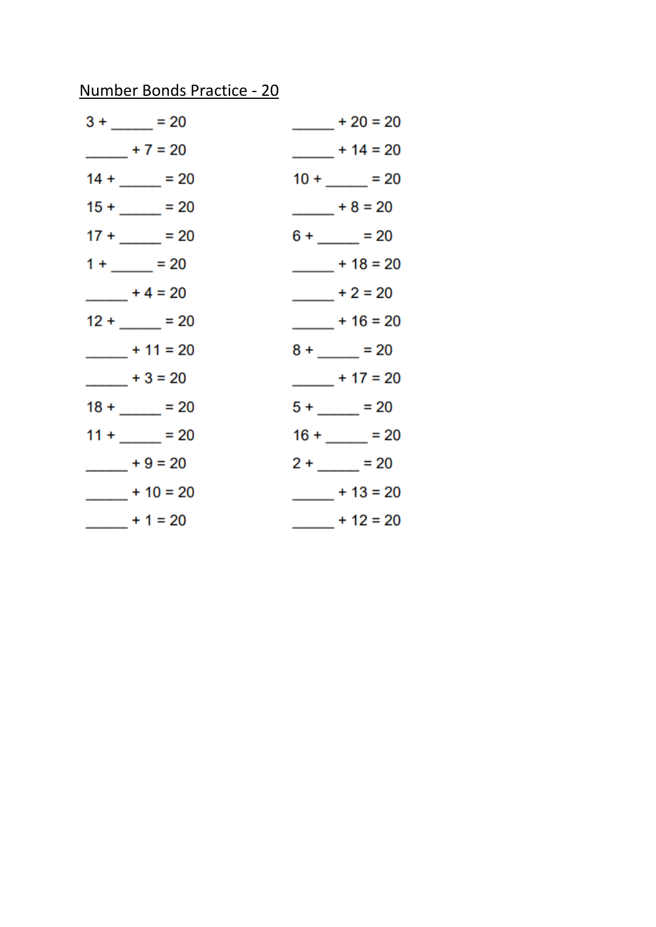# Number Bonds Practice - 20

| $3 + \_ = 20$   | $+20 = 20$     |
|-----------------|----------------|
| $- 7 = 20$      | $+ 14 = 20$    |
| $14 + \_ = 20$  | $10 + \_ = 20$ |
| $15 +$ $-$ = 20 | $+8=20$        |
| $17 + \_ = 20$  | $6 + \_ = 20$  |
| $1 + \_ = 20$   | $+18=20$       |
| $- 4 = 20$      | $+2=20$        |
| $12 + \_ = 20$  | $-$ + 16 = 20  |
| $+11 = 20$      | $8 + \_ = 20$  |
| $- 1 + 3 = 20$  | $-$ + 17 = 20  |
| $18 + \_ = 20$  | $5 + 20$       |
| $11 + 20$       | $16 + 20$      |
| $+9=20$         | $2 + \_ = 20$  |
| $-$ + 10 = 20   | $-$ + 13 = 20  |
| $- 1 = 20$      | $-$ + 12 = 20  |